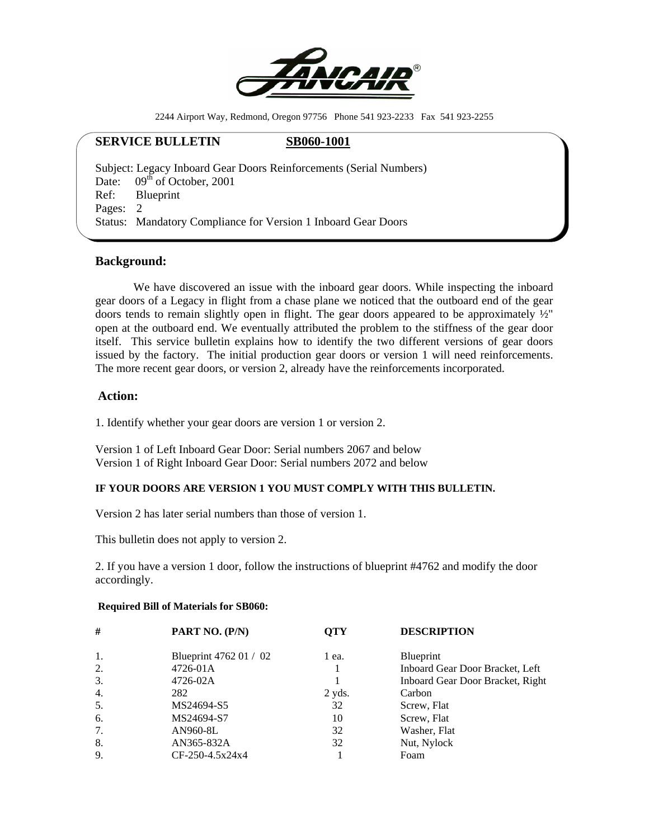

2244 Airport Way, Redmond, Oregon 97756 Phone 541 923-2233 Fax 541 923-2255

## **SERVICE BULLETIN** SB060-1001

Subject: Legacy Inboard Gear Doors Reinforcements (Serial Numbers) Date:  $09<sup>th</sup>$  of October, 2001 Ref: Blueprint Pages: 2 Status: Mandatory Compliance for Version 1 Inboard Gear Doors

## **Background:**

 We have discovered an issue with the inboard gear doors. While inspecting the inboard gear doors of a Legacy in flight from a chase plane we noticed that the outboard end of the gear doors tends to remain slightly open in flight. The gear doors appeared to be approximately ½" open at the outboard end. We eventually attributed the problem to the stiffness of the gear door itself. This service bulletin explains how to identify the two different versions of gear doors issued by the factory. The initial production gear doors or version 1 will need reinforcements. The more recent gear doors, or version 2, already have the reinforcements incorporated.

# **Action:**

1. Identify whether your gear doors are version 1 or version 2.

Version 1 of Left Inboard Gear Door: Serial numbers 2067 and below Version 1 of Right Inboard Gear Door: Serial numbers 2072 and below

## **IF YOUR DOORS ARE VERSION 1 YOU MUST COMPLY WITH THIS BULLETIN.**

Version 2 has later serial numbers than those of version 1.

This bulletin does not apply to version 2.

2. If you have a version 1 door, follow the instructions of blueprint #4762 and modify the door accordingly.

#### **Required Bill of Materials for SB060:**

| #  | PART NO. (P/N)         | <b>OTY</b> | <b>DESCRIPTION</b>               |
|----|------------------------|------------|----------------------------------|
| 1. | Blueprint 4762 01 / 02 | 1 ea.      | Blueprint                        |
| 2. | 4726-01A               |            | Inboard Gear Door Bracket, Left  |
| 3. | 4726-02A               |            | Inboard Gear Door Bracket, Right |
| 4. | 282                    | $2$ yds.   | Carbon                           |
| 5. | MS24694-S5             | 32         | Screw, Flat                      |
| 6. | MS24694-S7             | 10         | Screw, Flat                      |
| 7. | AN960-8L               | 32         | Washer, Flat                     |
| 8. | AN365-832A             | 32         | Nut, Nylock                      |
| 9. | $CF-250-4.5x24x4$      |            | Foam                             |